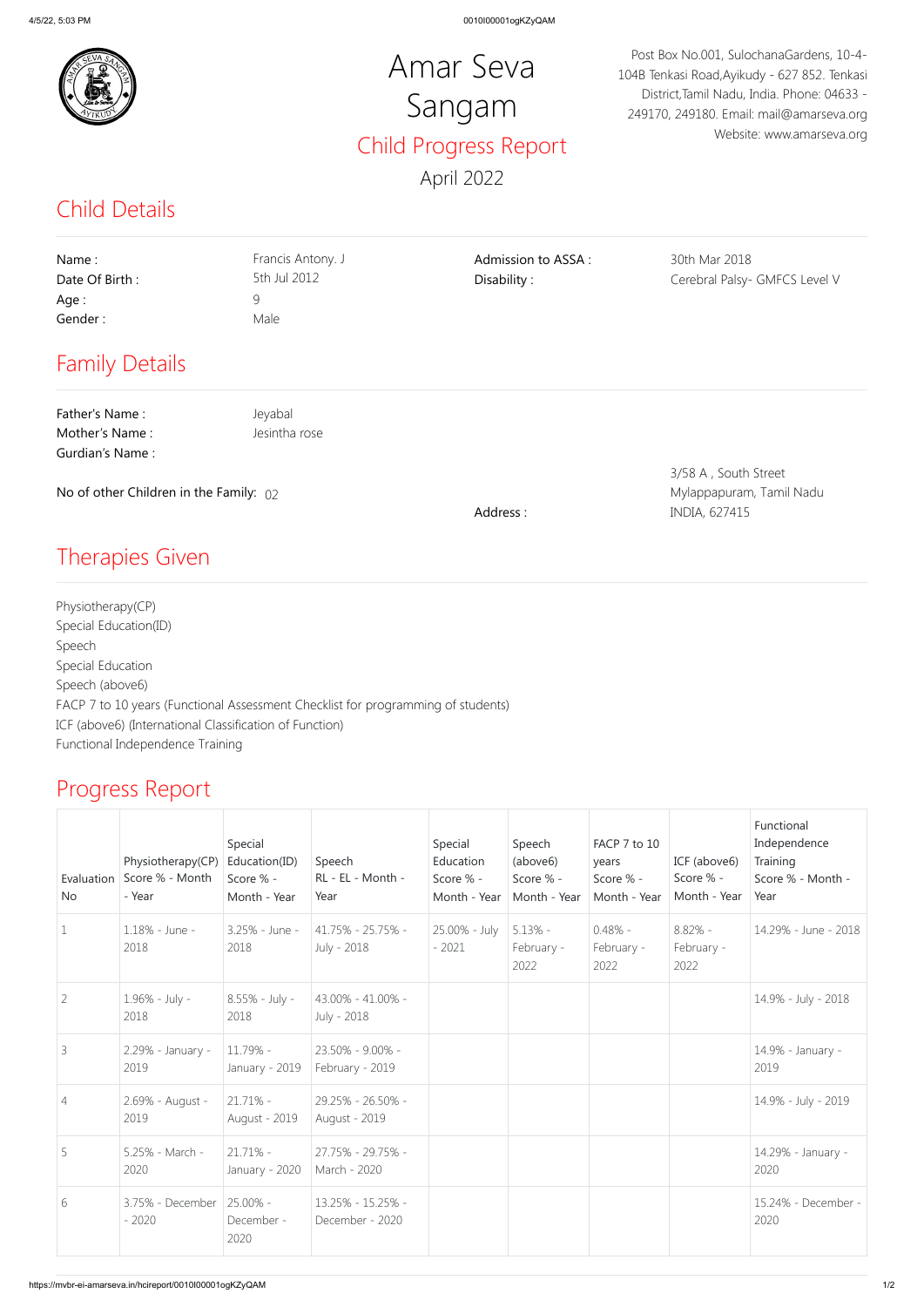

## Child Details

## Progress Report

## Amar Seva Sangam Child Progress Report April 2022

Post Box No.001, SulochanaGardens, 10-4- 104B Tenkasi Road,Ayikudy - 627 852. Tenkasi District,Tamil Nadu, India. Phone: 04633 - 249170, 249180. Email: mail@amarseva.org Website: www.amarseva.org

| Name:<br>Date Of Birth:<br>Age:<br>Gender:<br><b>Family Details</b>                                    | Francis Antony. J<br>5th Jul 2012<br>9<br>Male | Admission to ASSA:<br>Disability: | 30th Mar 2018<br>Cerebral Palsy- GMFCS Level V                    |
|--------------------------------------------------------------------------------------------------------|------------------------------------------------|-----------------------------------|-------------------------------------------------------------------|
| Father's Name:<br>Mother's Name:<br><b>Gurdian's Name:</b><br>No of other Children in the Family: $02$ | Jeyabal<br>Jesintha rose                       | Address:                          | 3/58 A, South Street<br>Mylappapuram, Tamil Nadu<br>INDIA, 627415 |
| <b>Therapies Given</b>                                                                                 |                                                |                                   |                                                                   |

Physiotherapy(CP) Special Education(ID) Speech Special Education Speech (above6) FACP 7 to 10 years (Functional Assessment Checklist for programming of students) ICF (above6) (International Classification of Function) Functional Independence Training

| Evaluation<br>No | Physiotherapy(CP)<br>Score % - Month<br>- Year | Special<br>Education(ID)<br>Score % -<br>Month - Year | Speech<br>RL - EL - Month -<br>Year  | Special<br>Education<br>Score % -<br>Month - Year | Speech<br>(above6)<br>Score % -<br>Month - Year | FACP 7 to 10<br>years<br>Score % -<br>Month - Year | ICF (above6)<br>Score % -<br>Month - Year | Functional<br>Independence<br>Training<br>Score % - Month -<br>Year |
|------------------|------------------------------------------------|-------------------------------------------------------|--------------------------------------|---------------------------------------------------|-------------------------------------------------|----------------------------------------------------|-------------------------------------------|---------------------------------------------------------------------|
| $\mathbf 1$      | 1.18% - June -<br>2018                         | 3.25% - June -<br>2018                                | 41.75% - 25.75% -<br>July - 2018     | 25.00% - July<br>$-2021$                          | $5.13\%$ -<br>February -<br>2022                | $0.48\%$ -<br>February -<br>2022                   | $8.82\% -$<br>February -<br>2022          | 14.29% - June - 2018                                                |
| $\overline{2}$   | 1.96% - July -<br>2018                         | 8.55% - July -<br>2018                                | 43.00% - 41.00% -<br>July - 2018     |                                                   |                                                 |                                                    |                                           | 14.9% - July - 2018                                                 |
| $\mathcal{S}$    | 2.29% - January -<br>2019                      | 11.79% -<br>January - 2019                            | 23.50% - 9.00% -<br>February - 2019  |                                                   |                                                 |                                                    |                                           | 14.9% - January -<br>2019                                           |
| $\overline{4}$   | 2.69% - August -<br>2019                       | $21.71\%$ -<br>August - 2019                          | 29.25% - 26.50% -<br>August - 2019   |                                                   |                                                 |                                                    |                                           | 14.9% - July - 2019                                                 |
| 5                | 5.25% - March -<br>2020                        | $21.71\%$ -<br>January - 2020                         | 27.75% - 29.75% -<br>March - 2020    |                                                   |                                                 |                                                    |                                           | 14.29% - January -<br>2020                                          |
| 6                | 3.75% - December<br>$-2020$                    | 25.00% -<br>December -<br>2020                        | 13.25% - 15.25% -<br>December - 2020 |                                                   |                                                 |                                                    |                                           | 15.24% - December -<br>2020                                         |